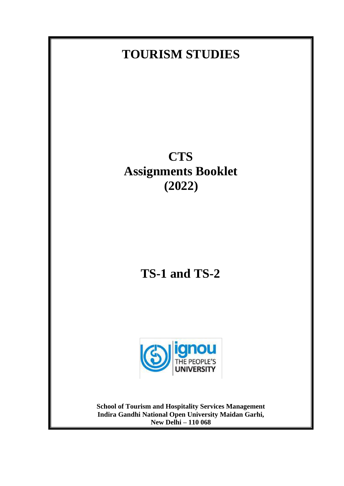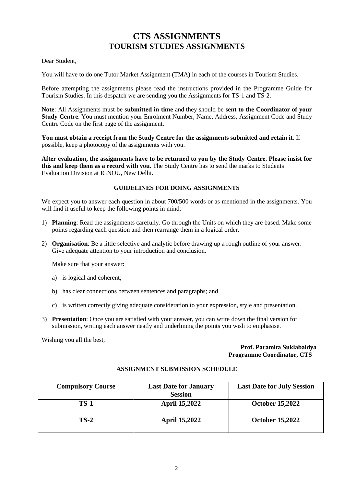# **CTS ASSIGNMENTS TOURISM STUDIES ASSIGNMENTS**

#### Dear Student,

You will have to do one Tutor Market Assignment (TMA) in each of the courses in Tourism Studies.

Before attempting the assignments please read the instructions provided in the Programme Guide for Tourism Studies. In this despatch we are sending you the Assignments for TS-1 and TS-2.

**Note**: All Assignments must be **submitted in time** and they should be **sent to the Coordinator of your Study Centre**. You must mention your Enrolment Number, Name, Address, Assignment Code and Study Centre Code on the first page of the assignment.

**You must obtain a receipt from the Study Centre for the assignments submitted and retain it**. If possible, keep a photocopy of the assignments with you.

**After evaluation, the assignments have to be returned to you by the Study Centre. Please insist for this and keep them as a record with you**. The Study Centre has to send the marks to Students Evaluation Division at IGNOU, New Delhi.

#### **GUIDELINES FOR DOING ASSIGNMENTS**

We expect you to answer each question in about 700/500 words or as mentioned in the assignments. You will find it useful to keep the following points in mind:

- 1) **Planning**: Read the assignments carefully. Go through the Units on which they are based. Make some points regarding each question and then rearrange them in a logical order.
- 2) **Organisation**: Be a little selective and analytic before drawing up a rough outline of your answer. Give adequate attention to your introduction and conclusion.

Make sure that your answer:

- a) is logical and coherent;
- b) has clear connections between sentences and paragraphs; and
- c) is written correctly giving adequate consideration to your expression, style and presentation.
- 3) **Presentation**: Once you are satisfied with your answer, you can write down the final version for submission, writing each answer neatly and underlining the points you wish to emphasise.

Wishing you all the best,

#### **Prof. Paramita Suklabaidya Programme Coordinator, CTS**

| <b>Compulsory Course</b> | <b>Last Date for January</b> | <b>Last Date for July Session</b> |
|--------------------------|------------------------------|-----------------------------------|
|                          | <b>Session</b>               |                                   |
| <b>TS-1</b>              | <b>April 15,2022</b>         | <b>October 15,2022</b>            |
| $TS-2$                   | <b>April 15,2022</b>         | <b>October 15,2022</b>            |

#### **ASSIGNMENT SUBMISSION SCHEDULE**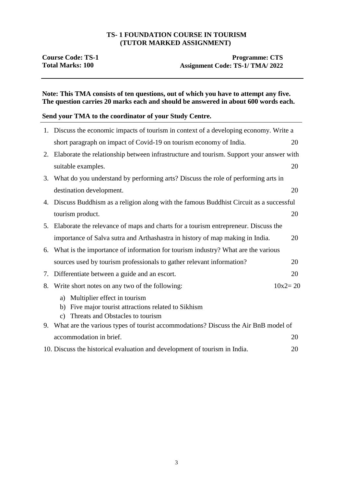#### **TS- 1 FOUNDATION COURSE IN TOURISM (TUTOR MARKED ASSIGNMENT)**

## **Course Code: TS-1**<br> **Programme: CTS**<br> **Programme: CTS**<br> **Programme: CTS**<br> **Assignment Code: TS-1/ TMA/ 2022** Assignment Code: TS-1/ TMA/ 2022

### **Note: This TMA consists of ten questions, out of which you have to attempt any five. The question carries 20 marks each and should be answered in about 600 words each.**

### **Send your TMA to the coordinator of your Study Centre.**

|    | 1. Discuss the economic impacts of tourism in context of a developing economy. Write a                                                           |             |  |
|----|--------------------------------------------------------------------------------------------------------------------------------------------------|-------------|--|
|    | short paragraph on impact of Covid-19 on tourism economy of India.                                                                               | 20          |  |
|    | 2. Elaborate the relationship between infrastructure and tourism. Support your answer with                                                       |             |  |
|    | suitable examples.                                                                                                                               | 20          |  |
|    | 3. What do you understand by performing arts? Discuss the role of performing arts in                                                             |             |  |
|    | destination development.                                                                                                                         | 20          |  |
| 4. | Discuss Buddhism as a religion along with the famous Buddhist Circuit as a successful                                                            |             |  |
|    | tourism product.                                                                                                                                 | 20          |  |
|    | 5. Elaborate the relevance of maps and charts for a tourism entrepreneur. Discuss the                                                            |             |  |
|    | importance of Salva sutra and Arthashastra in history of map making in India.                                                                    | 20          |  |
| 6. | What is the importance of information for tourism industry? What are the various                                                                 |             |  |
|    | sources used by tourism professionals to gather relevant information?                                                                            | 20          |  |
| 7. | Differentiate between a guide and an escort.                                                                                                     | 20          |  |
| 8. | Write short notes on any two of the following:                                                                                                   | $10x2 = 20$ |  |
|    | a) Multiplier effect in tourism<br>Five major tourist attractions related to Sikhism<br>b)<br>Threats and Obstacles to tourism<br>$\mathbf{c}$ ) |             |  |
|    | 9. What are the various types of tourist accommodations? Discuss the Air BnB model of                                                            |             |  |
|    | accommodation in brief.                                                                                                                          | 20          |  |
|    | 10. Discuss the historical evaluation and development of tourism in India.                                                                       | 20          |  |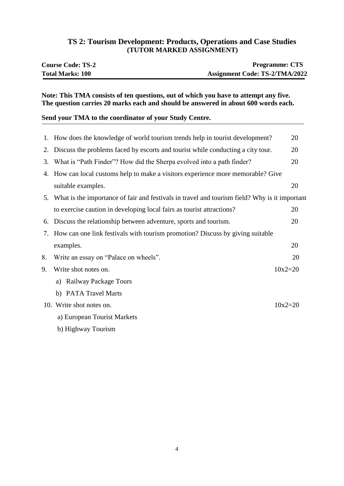# **TS 2: Tourism Development: Products, Operations and Case Studies (TUTOR MARKED ASSIGNMENT)**

| <b>Course Code: TS-2</b> | <b>Programme: CTS</b>                 |
|--------------------------|---------------------------------------|
| <b>Total Marks: 100</b>  | <b>Assignment Code: TS-2/TMA/2022</b> |

### **Note: This TMA consists of ten questions, out of which you have to attempt any five. The question carries 20 marks each and should be answered in about 600 words each.**

## **Send your TMA to the coordinator of your Study Centre.**

|    | 1. How does the knowledge of world tourism trends help in tourist development?                   | 20          |
|----|--------------------------------------------------------------------------------------------------|-------------|
| 2. | Discuss the problems faced by escorts and tourist while conducting a city tour.                  | 20          |
| 3. | What is "Path Finder"? How did the Sherpa evolved into a path finder?                            | 20          |
| 4. | How can local customs help to make a visitors experience more memorable? Give                    |             |
|    | suitable examples.                                                                               | 20          |
|    | 5. What is the importance of fair and festivals in travel and tourism field? Why is it important |             |
|    | to exercise caution in developing local fairs as tourist attractions?                            | 20          |
|    | 6. Discuss the relationship between adventure, sports and tourism.                               | 20          |
|    | 7. How can one link festivals with tourism promotion? Discuss by giving suitable                 |             |
|    | examples.                                                                                        | 20          |
| 8. | Write an essay on "Palace on wheels".                                                            | 20          |
| 9. | Write shot notes on.                                                                             | $10x2 = 20$ |
|    | Railway Package Tours<br>a)                                                                      |             |
|    | b) PATA Travel Marts                                                                             |             |
|    | 10. Write shot notes on.                                                                         | $10x2 = 20$ |
|    | a) European Tourist Markets                                                                      |             |
|    | b) Highway Tourism                                                                               |             |